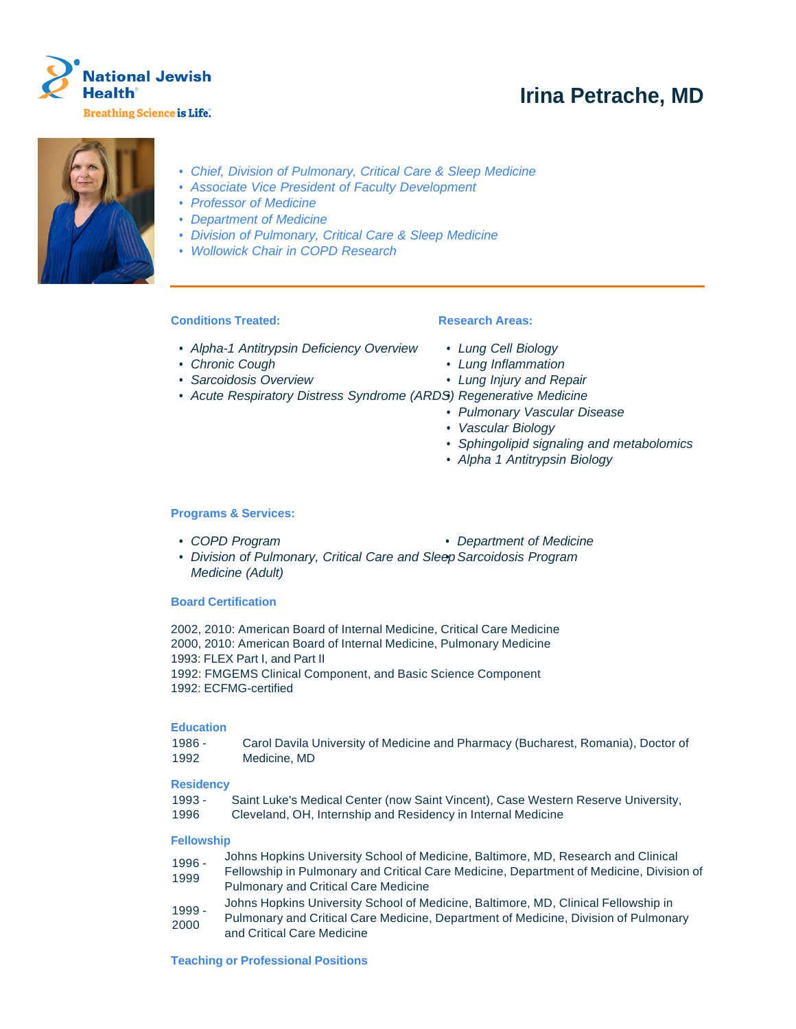

# **Irina Petrache, MD**



- Chief, Division of Pulmonary, Critical Care & Sleep Medicine
- Associate Vice President of Faculty Development
- Professor of Medicine
- Department of Medicine
- Division of Pulmonary, Critical Care & Sleep Medicine
- Wollowick Chair in COPD Research

# **Conditions Treated:**

## **Research Areas:**

- Alpha-1 Antitrypsin Deficiency Overview
- Chronic Cough
- Sarcoidosis Overview
- Lung Cell Biology • Lung Inflammation
- Lung Injury and Repair
- 
- Acute Respiratory Distress Syndrome (ARDS) Regenerative Medicine
	- Pulmonary Vascular Disease
	- Vascular Biology
	- Sphingolipid signaling and metabolomics
	- Alpha 1 Antitrypsin Biology

## **Programs & Services:**

- 
- COPD Program Department of Medicine
- Division of Pulmonary, Critical Care and Sleep Sarcoidosis Program Medicine (Adult)

## **Board Certification**

2002, 2010: American Board of Internal Medicine, Critical Care Medicine 2000, 2010: American Board of Internal Medicine, Pulmonary Medicine 1993: FLEX Part I, and Part II 1992: FMGEMS Clinical Component, and Basic Science Component 1992: ECFMG-certified

## **Education**

| $1986 -$ | Carol Davila University of Medicine and Pharmacy (Bucharest, Romania), Doctor of |
|----------|----------------------------------------------------------------------------------|
| 1992     | Medicine, MD                                                                     |

## **Residency**

1993 - 1996 Saint Luke's Medical Center (now Saint Vincent), Case Western Reserve University, Cleveland, OH, Internship and Residency in Internal Medicine

#### **Fellowship**

- 1996 Johns Hopkins University School of Medicine, Baltimore, MD, Research and Clinical
- 1999 Fellowship in Pulmonary and Critical Care Medicine, Department of Medicine, Division of Pulmonary and Critical Care Medicine
- 1999 Johns Hopkins University School of Medicine, Baltimore, MD, Clinical Fellowship in
- 2000 Pulmonary and Critical Care Medicine, Department of Medicine, Division of Pulmonary and Critical Care Medicine

#### **Teaching or Professional Positions**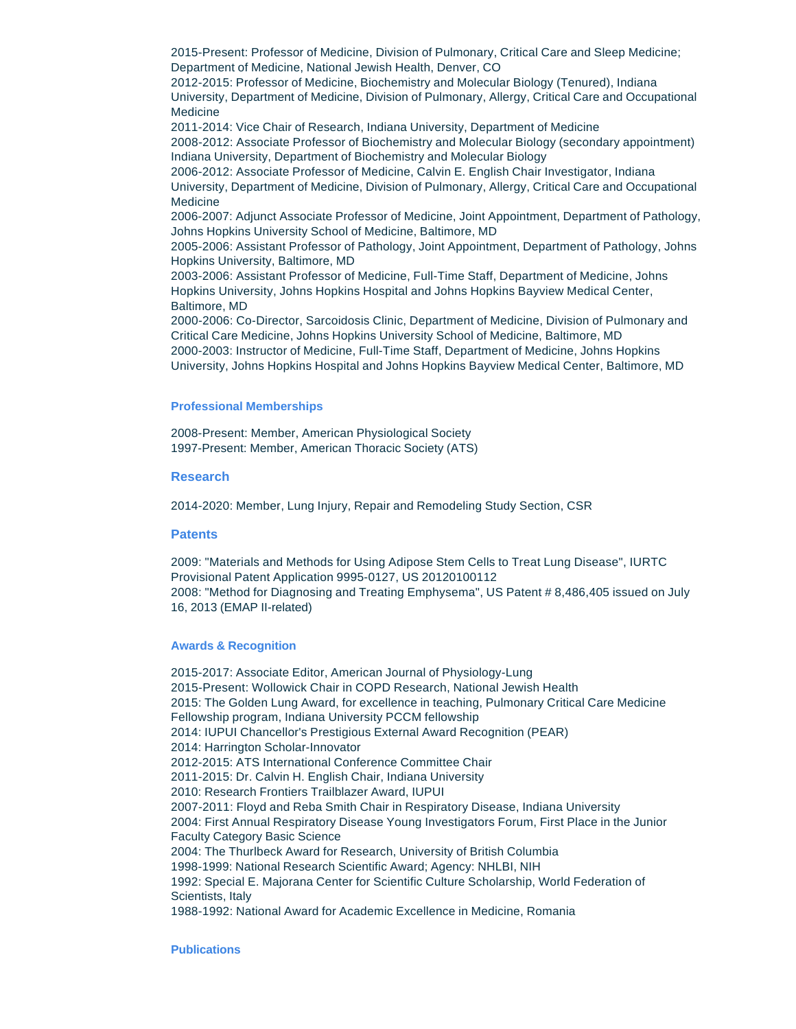2015-Present: Professor of Medicine, Division of Pulmonary, Critical Care and Sleep Medicine; Department of Medicine, National Jewish Health, Denver, CO

2012-2015: Professor of Medicine, Biochemistry and Molecular Biology (Tenured), Indiana University, Department of Medicine, Division of Pulmonary, Allergy, Critical Care and Occupational Medicine

2011-2014: Vice Chair of Research, Indiana University, Department of Medicine 2008-2012: Associate Professor of Biochemistry and Molecular Biology (secondary appointment) Indiana University, Department of Biochemistry and Molecular Biology

2006-2012: Associate Professor of Medicine, Calvin E. English Chair Investigator, Indiana University, Department of Medicine, Division of Pulmonary, Allergy, Critical Care and Occupational Medicine

2006-2007: Adjunct Associate Professor of Medicine, Joint Appointment, Department of Pathology, Johns Hopkins University School of Medicine, Baltimore, MD

2005-2006: Assistant Professor of Pathology, Joint Appointment, Department of Pathology, Johns Hopkins University, Baltimore, MD

2003-2006: Assistant Professor of Medicine, Full-Time Staff, Department of Medicine, Johns Hopkins University, Johns Hopkins Hospital and Johns Hopkins Bayview Medical Center, Baltimore, MD

2000-2006: Co-Director, Sarcoidosis Clinic, Department of Medicine, Division of Pulmonary and Critical Care Medicine, Johns Hopkins University School of Medicine, Baltimore, MD 2000-2003: Instructor of Medicine, Full-Time Staff, Department of Medicine, Johns Hopkins University, Johns Hopkins Hospital and Johns Hopkins Bayview Medical Center, Baltimore, MD

## **Professional Memberships**

2008-Present: Member, American Physiological Society 1997-Present: Member, American Thoracic Society (ATS)

#### **Research**

2014-2020: Member, Lung Injury, Repair and Remodeling Study Section, CSR

#### **Patents**

2009: "Materials and Methods for Using Adipose Stem Cells to Treat Lung Disease", IURTC Provisional Patent Application 9995-0127, US 20120100112 2008: "Method for Diagnosing and Treating Emphysema", US Patent # 8,486,405 issued on July 16, 2013 (EMAP II-related)

#### **Awards & Recognition**

2015-2017: Associate Editor, American Journal of Physiology-Lung 2015-Present: Wollowick Chair in COPD Research, National Jewish Health 2015: The Golden Lung Award, for excellence in teaching, Pulmonary Critical Care Medicine Fellowship program, Indiana University PCCM fellowship 2014: IUPUI Chancellor's Prestigious External Award Recognition (PEAR) 2014: Harrington Scholar-Innovator 2012-2015: ATS International Conference Committee Chair 2011-2015: Dr. Calvin H. English Chair, Indiana University 2010: Research Frontiers Trailblazer Award, IUPUI 2007-2011: Floyd and Reba Smith Chair in Respiratory Disease, Indiana University 2004: First Annual Respiratory Disease Young Investigators Forum, First Place in the Junior Faculty Category Basic Science 2004: The Thurlbeck Award for Research, University of British Columbia 1998-1999: National Research Scientific Award; Agency: NHLBI, NIH 1992: Special E. Majorana Center for Scientific Culture Scholarship, World Federation of Scientists, Italy 1988-1992: National Award for Academic Excellence in Medicine, Romania